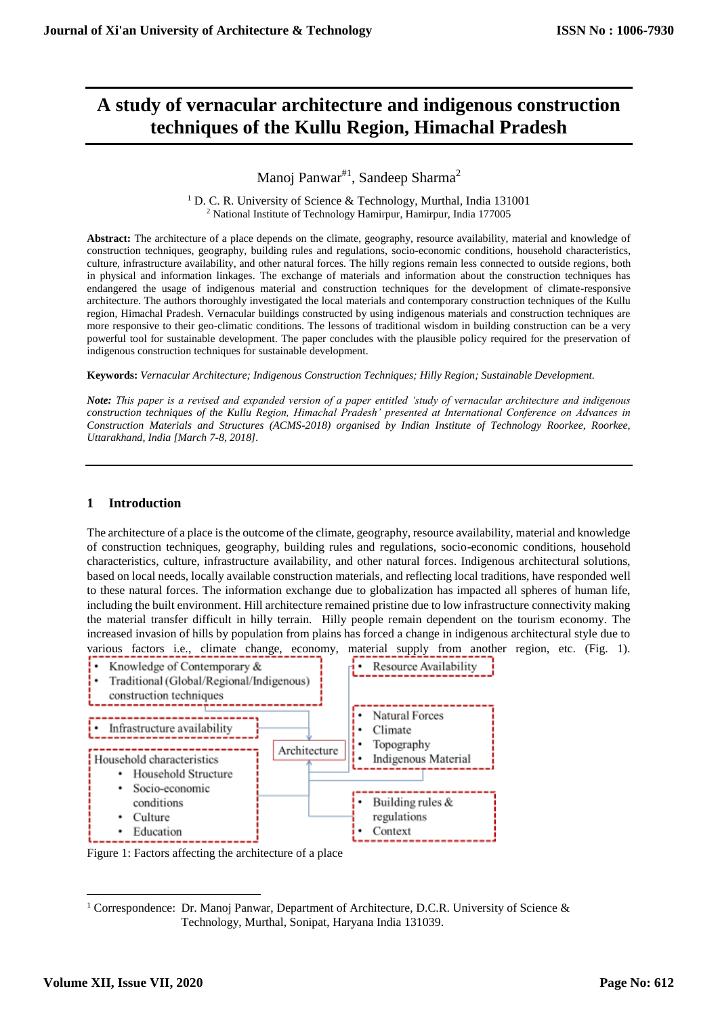# **A study of vernacular architecture and indigenous construction techniques of the Kullu Region, Himachal Pradesh**

Manoj Panwar<sup>#1</sup>, Sandeep Sharma<sup>2</sup>

<sup>1</sup> D. C. R. University of Science & Technology, Murthal, India 131001 <sup>2</sup> National Institute of Technology Hamirpur, Hamirpur, India 177005

**Abstract:** The architecture of a place depends on the climate, geography, resource availability, material and knowledge of construction techniques, geography, building rules and regulations, socio-economic conditions, household characteristics, culture, infrastructure availability, and other natural forces. The hilly regions remain less connected to outside regions, both in physical and information linkages. The exchange of materials and information about the construction techniques has endangered the usage of indigenous material and construction techniques for the development of climate-responsive architecture. The authors thoroughly investigated the local materials and contemporary construction techniques of the Kullu region, Himachal Pradesh. Vernacular buildings constructed by using indigenous materials and construction techniques are more responsive to their geo-climatic conditions. The lessons of traditional wisdom in building construction can be a very powerful tool for sustainable development. The paper concludes with the plausible policy required for the preservation of indigenous construction techniques for sustainable development.

**Keywords:** *Vernacular Architecture; Indigenous Construction Techniques; Hilly Region; Sustainable Development.*

*Note: This paper is a revised and expanded version of a paper entitled 'study of vernacular architecture and indigenous construction techniques of the Kullu Region, Himachal Pradesh' presented at International Conference on Advances in Construction Materials and Structures (ACMS-2018) organised by Indian Institute of Technology Roorkee, Roorkee, Uttarakhand, India [March 7-8, 2018].* 

## **1 Introduction**

The architecture of a place is the outcome of the climate, geography, resource availability, material and knowledge of construction techniques, geography, building rules and regulations, socio-economic conditions, household characteristics, culture, infrastructure availability, and other natural forces. Indigenous architectural solutions, based on local needs, locally available construction materials, and reflecting local traditions, have responded well to these natural forces. The information exchange due to globalization has impacted all spheres of human life, including the built environment. Hill architecture remained pristine due to low infrastructure connectivity making the material transfer difficult in hilly terrain. Hilly people remain dependent on the tourism economy. The increased invasion of hills by population from plains has forced a change in indigenous architectural style due to various factors i.e., climate change, economy, material supply from another region, etc. (Fig. 1).



Figure 1: Factors affecting the architecture of a place

 $\overline{a}$ 

<sup>&</sup>lt;sup>1</sup> Correspondence: Dr. Manoj Panwar, Department of Architecture, D.C.R. University of Science & Technology, Murthal, Sonipat, Haryana India 131039.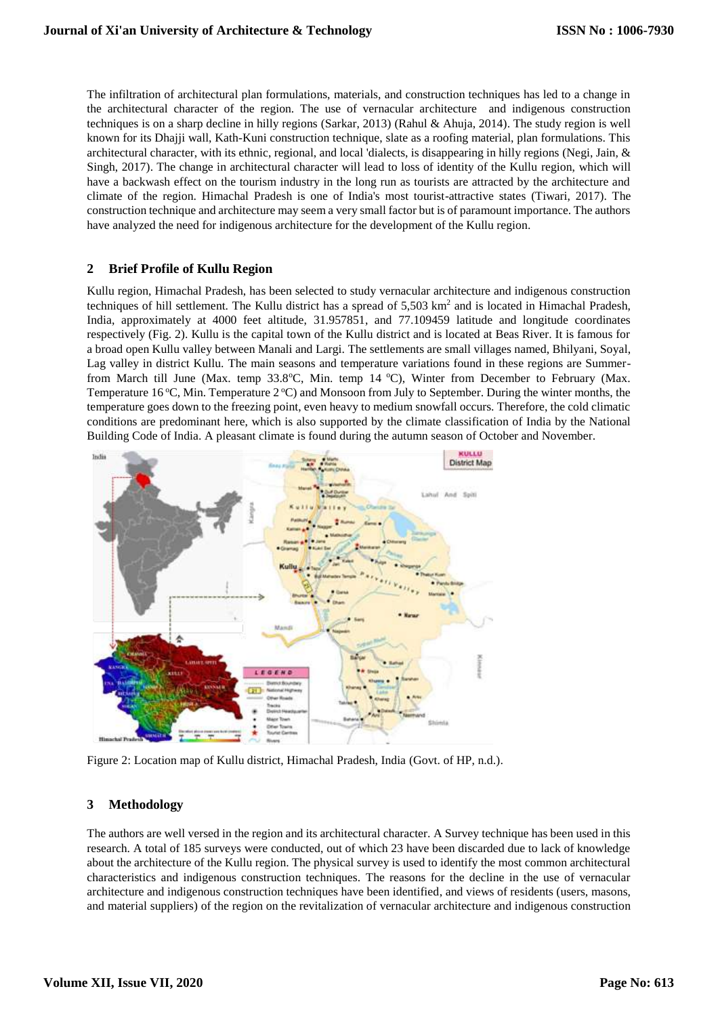The infiltration of architectural plan formulations, materials, and construction techniques has led to a change in the architectural character of the region. The use of vernacular architecture and indigenous construction techniques is on a sharp decline in hilly regions (Sarkar, 2013) (Rahul & Ahuja, 2014). The study region is well known for its Dhajji wall, Kath-Kuni construction technique, slate as a roofing material, plan formulations. This architectural character, with its ethnic, regional, and local 'dialects, is disappearing in hilly regions (Negi, Jain, & Singh, 2017). The change in architectural character will lead to loss of identity of the Kullu region, which will have a backwash effect on the tourism industry in the long run as tourists are attracted by the architecture and climate of the region. Himachal Pradesh is one of India's most tourist-attractive states (Tiwari, 2017). The construction technique and architecture may seem a very small factor but is of paramount importance. The authors have analyzed the need for indigenous architecture for the development of the Kullu region.

#### **2 Brief Profile of Kullu Region**

Kullu region, Himachal Pradesh, has been selected to study vernacular architecture and indigenous construction techniques of hill settlement. The Kullu district has a spread of  $5{,}503 \text{ km}^2$  and is located in Himachal Pradesh, India, approximately at 4000 feet altitude, 31.957851, and 77.109459 latitude and longitude coordinates respectively (Fig. 2). Kullu is the capital town of the Kullu district and is located at Beas River. It is famous for a broad open Kullu valley between Manali and Largi. The settlements are small villages named, Bhilyani, Soyal, Lag valley in district Kullu. The main seasons and temperature variations found in these regions are Summerfrom March till June (Max. temp 33.8°C, Min. temp 14 °C), Winter from December to February (Max. Temperature 16 °C, Min. Temperature  $2$  °C) and Monsoon from July to September. During the winter months, the temperature goes down to the freezing point, even heavy to medium snowfall occurs. Therefore, the cold climatic conditions are predominant here, which is also supported by the climate classification of India by the National Building Code of India. A pleasant climate is found during the autumn season of October and November.



Figure 2: Location map of Kullu district, Himachal Pradesh, India (Govt. of HP, n.d.).

## **3 Methodology**

The authors are well versed in the region and its architectural character. A Survey technique has been used in this research. A total of 185 surveys were conducted, out of which 23 have been discarded due to lack of knowledge about the architecture of the Kullu region. The physical survey is used to identify the most common architectural characteristics and indigenous construction techniques. The reasons for the decline in the use of vernacular architecture and indigenous construction techniques have been identified, and views of residents (users, masons, and material suppliers) of the region on the revitalization of vernacular architecture and indigenous construction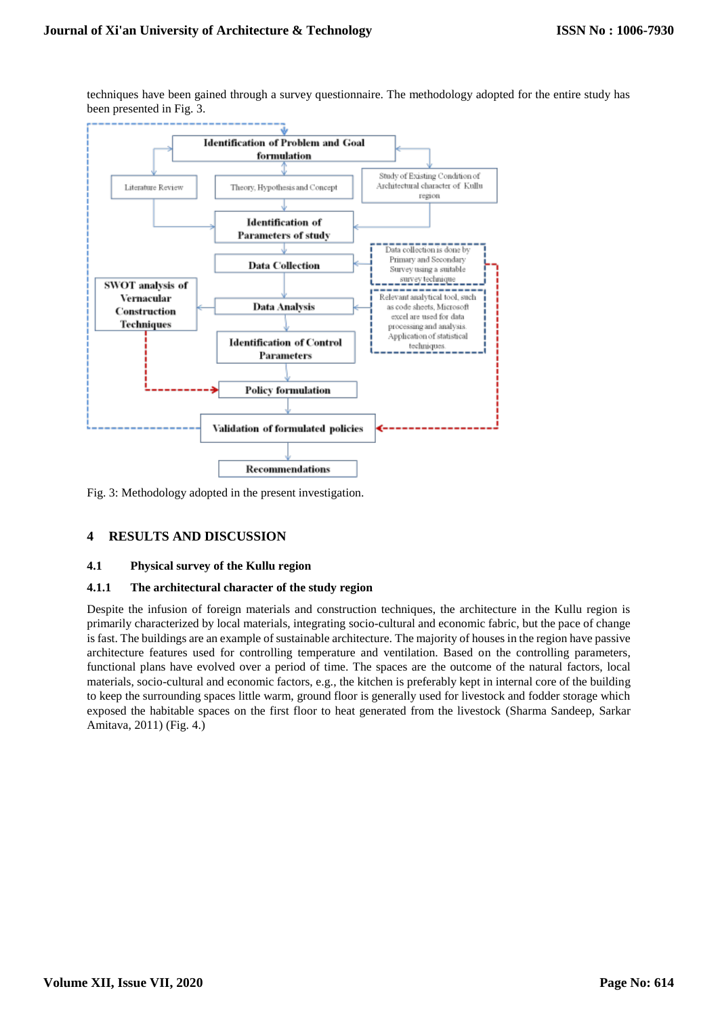techniques have been gained through a survey questionnaire. The methodology adopted for the entire study has been presented in Fig. 3.



Fig. 3: Methodology adopted in the present investigation.

## **4 RESULTS AND DISCUSSION**

#### **4.1 Physical survey of the Kullu region**

#### **4.1.1 The architectural character of the study region**

Despite the infusion of foreign materials and construction techniques, the architecture in the Kullu region is primarily characterized by local materials, integrating socio-cultural and economic fabric, but the pace of change is fast. The buildings are an example of sustainable architecture. The majority of houses in the region have passive architecture features used for controlling temperature and ventilation. Based on the controlling parameters, functional plans have evolved over a period of time. The spaces are the outcome of the natural factors, local materials, socio-cultural and economic factors, e.g., the kitchen is preferably kept in internal core of the building to keep the surrounding spaces little warm, ground floor is generally used for livestock and fodder storage which exposed the habitable spaces on the first floor to heat generated from the livestock (Sharma Sandeep, Sarkar Amitava, 2011) (Fig. 4.)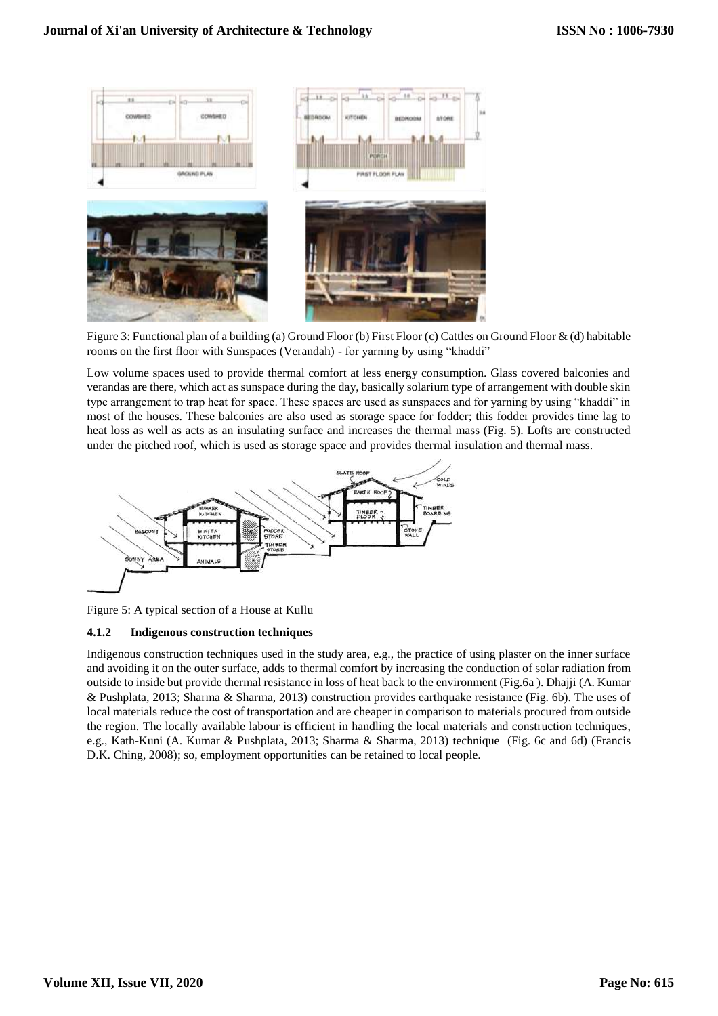

Figure 3: Functional plan of a building (a) Ground Floor (b) First Floor (c) Cattles on Ground Floor & (d) habitable rooms on the first floor with Sunspaces (Verandah) - for yarning by using "khaddi"

Low volume spaces used to provide thermal comfort at less energy consumption. Glass covered balconies and verandas are there, which act as sunspace during the day, basically solarium type of arrangement with double skin type arrangement to trap heat for space. These spaces are used as sunspaces and for yarning by using "khaddi" in most of the houses. These balconies are also used as storage space for fodder; this fodder provides time lag to heat loss as well as acts as an insulating surface and increases the thermal mass (Fig. 5). Lofts are constructed under the pitched roof, which is used as storage space and provides thermal insulation and thermal mass.



Figure 5: A typical section of a House at Kullu

## **4.1.2 Indigenous construction techniques**

Indigenous construction techniques used in the study area, e.g., the practice of using plaster on the inner surface and avoiding it on the outer surface, adds to thermal comfort by increasing the conduction of solar radiation from outside to inside but provide thermal resistance in loss of heat back to the environment (Fig.6a ). Dhajji (A. Kumar & Pushplata, 2013; Sharma & Sharma, 2013) construction provides earthquake resistance (Fig. 6b). The uses of local materials reduce the cost of transportation and are cheaper in comparison to materials procured from outside the region. The locally available labour is efficient in handling the local materials and construction techniques, e.g., Kath-Kuni (A. Kumar & Pushplata, 2013; Sharma & Sharma, 2013) technique (Fig. 6c and 6d) (Francis D.K. Ching, 2008); so, employment opportunities can be retained to local people.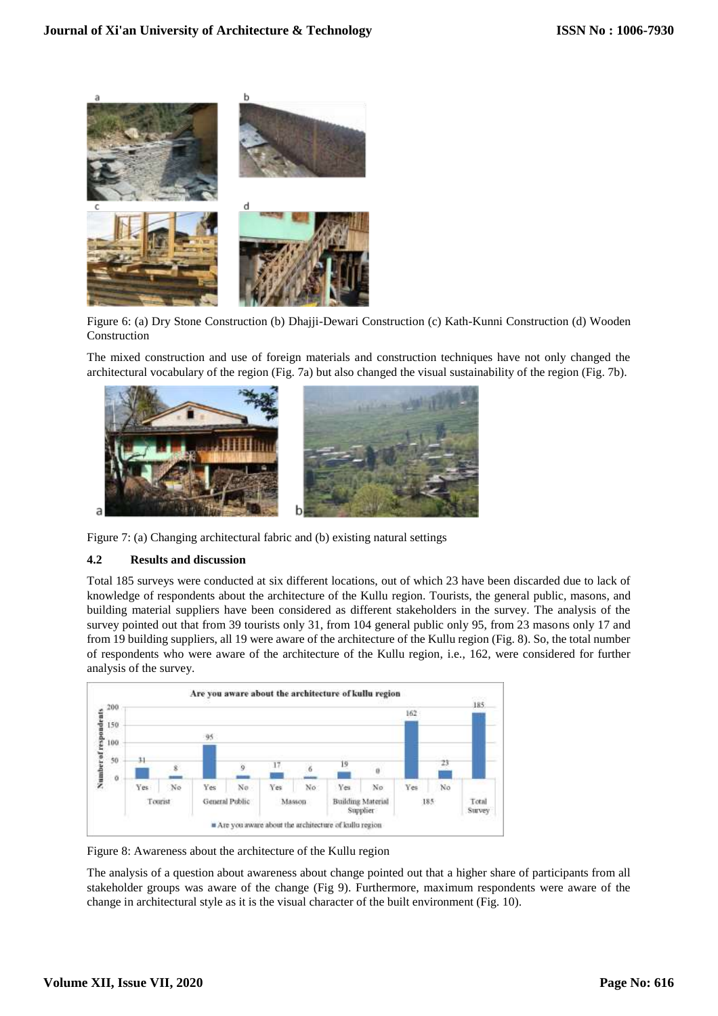

Figure 6: (a) Dry Stone Construction (b) Dhajji-Dewari Construction (c) Kath-Kunni Construction (d) Wooden Construction

The mixed construction and use of foreign materials and construction techniques have not only changed the architectural vocabulary of the region (Fig. 7a) but also changed the visual sustainability of the region (Fig. 7b).



Figure 7: (a) Changing architectural fabric and (b) existing natural settings

#### **4.2 Results and discussion**

Total 185 surveys were conducted at six different locations, out of which 23 have been discarded due to lack of knowledge of respondents about the architecture of the Kullu region. Tourists, the general public, masons, and building material suppliers have been considered as different stakeholders in the survey. The analysis of the survey pointed out that from 39 tourists only 31, from 104 general public only 95, from 23 masons only 17 and from 19 building suppliers, all 19 were aware of the architecture of the Kullu region (Fig. 8). So, the total number of respondents who were aware of the architecture of the Kullu region, i.e., 162, were considered for further analysis of the survey.



Figure 8: Awareness about the architecture of the Kullu region

The analysis of a question about awareness about change pointed out that a higher share of participants from all stakeholder groups was aware of the change (Fig 9). Furthermore, maximum respondents were aware of the change in architectural style as it is the visual character of the built environment (Fig. 10).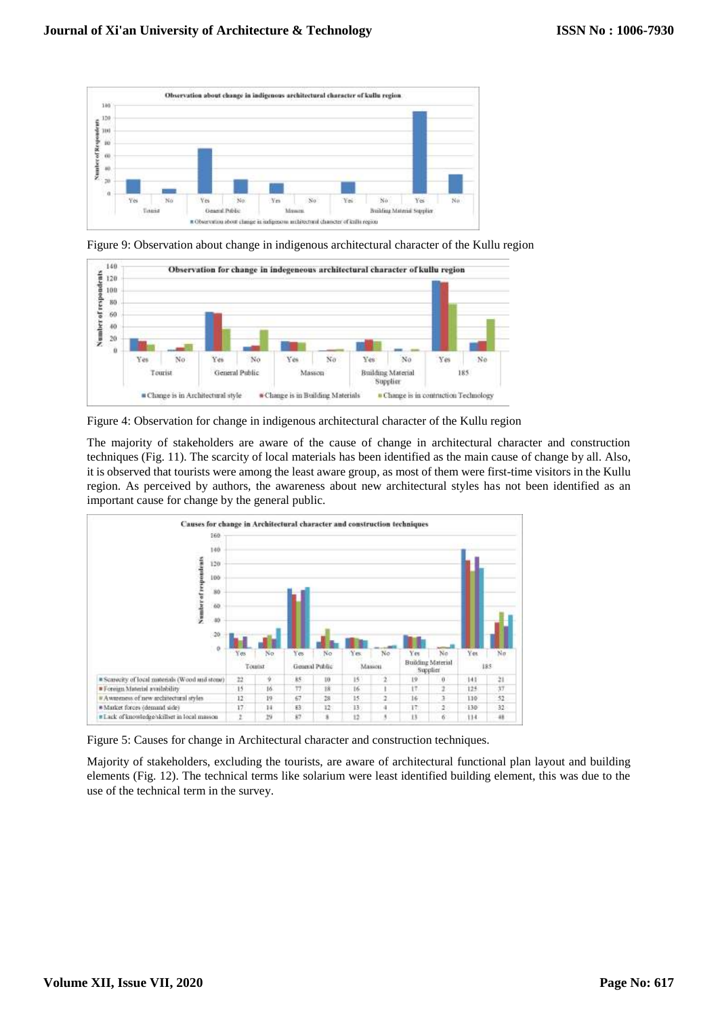

Figure 9: Observation about change in indigenous architectural character of the Kullu region



Figure 4: Observation for change in indigenous architectural character of the Kullu region

The majority of stakeholders are aware of the cause of change in architectural character and construction techniques (Fig. 11). The scarcity of local materials has been identified as the main cause of change by all. Also, it is observed that tourists were among the least aware group, as most of them were first-time visitors in the Kullu region. As perceived by authors, the awareness about new architectural styles has not been identified as an important cause for change by the general public.



Figure 5: Causes for change in Architectural character and construction techniques.

Majority of stakeholders, excluding the tourists, are aware of architectural functional plan layout and building elements (Fig. 12). The technical terms like solarium were least identified building element, this was due to the use of the technical term in the survey.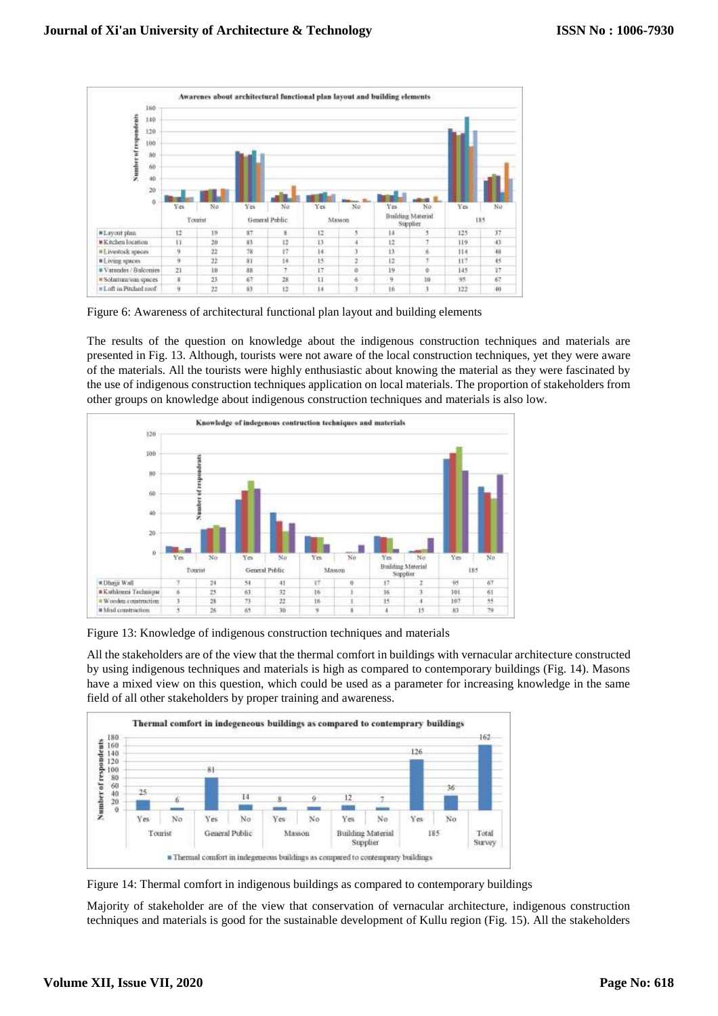

Figure 6: Awareness of architectural functional plan layout and building elements

The results of the question on knowledge about the indigenous construction techniques and materials are presented in Fig. 13. Although, tourists were not aware of the local construction techniques, yet they were aware of the materials. All the tourists were highly enthusiastic about knowing the material as they were fascinated by the use of indigenous construction techniques application on local materials. The proportion of stakeholders from other groups on knowledge about indigenous construction techniques and materials is also low.



Figure 13: Knowledge of indigenous construction techniques and materials

All the stakeholders are of the view that the thermal comfort in buildings with vernacular architecture constructed by using indigenous techniques and materials is high as compared to contemporary buildings (Fig. 14). Masons have a mixed view on this question, which could be used as a parameter for increasing knowledge in the same field of all other stakeholders by proper training and awareness.



Figure 14: Thermal comfort in indigenous buildings as compared to contemporary buildings

Majority of stakeholder are of the view that conservation of vernacular architecture, indigenous construction techniques and materials is good for the sustainable development of Kullu region (Fig. 15). All the stakeholders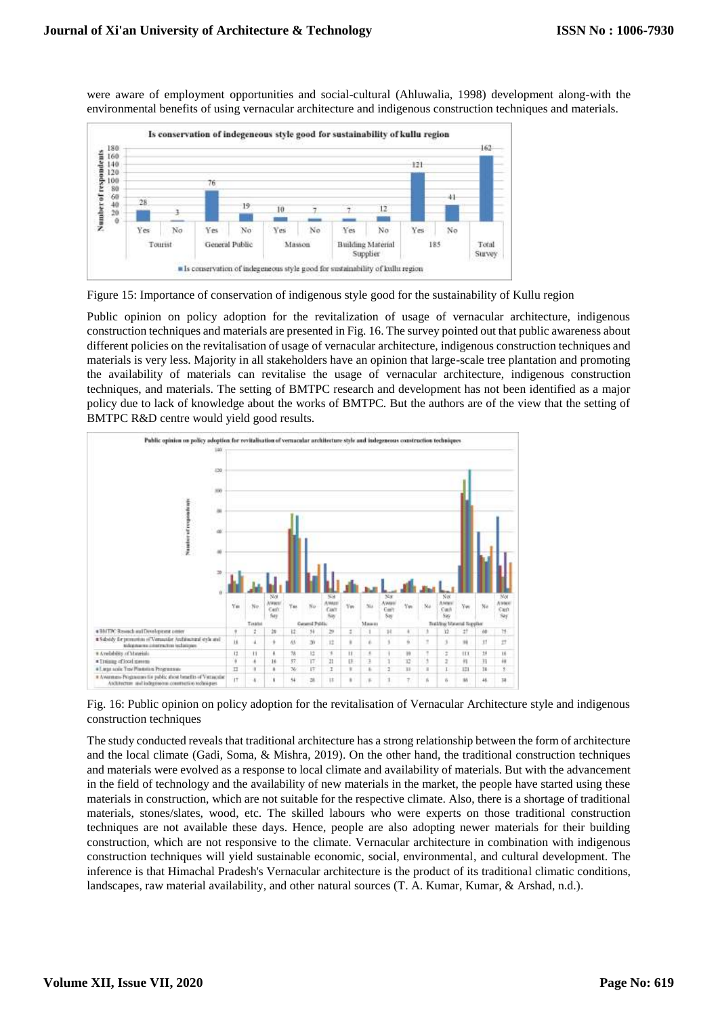were aware of employment opportunities and social-cultural (Ahluwalia, 1998) development along-with the environmental benefits of using vernacular architecture and indigenous construction techniques and materials.



Figure 15: Importance of conservation of indigenous style good for the sustainability of Kullu region

Public opinion on policy adoption for the revitalization of usage of vernacular architecture, indigenous construction techniques and materials are presented in Fig. 16. The survey pointed out that public awareness about different policies on the revitalisation of usage of vernacular architecture, indigenous construction techniques and materials is very less. Majority in all stakeholders have an opinion that large-scale tree plantation and promoting the availability of materials can revitalise the usage of vernacular architecture, indigenous construction techniques, and materials. The setting of BMTPC research and development has not been identified as a major policy due to lack of knowledge about the works of BMTPC. But the authors are of the view that the setting of BMTPC R&D centre would yield good results.



Fig. 16: Public opinion on policy adoption for the revitalisation of Vernacular Architecture style and indigenous construction techniques

The study conducted reveals that traditional architecture has a strong relationship between the form of architecture and the local climate (Gadi, Soma, & Mishra, 2019). On the other hand, the traditional construction techniques and materials were evolved as a response to local climate and availability of materials. But with the advancement in the field of technology and the availability of new materials in the market, the people have started using these materials in construction, which are not suitable for the respective climate. Also, there is a shortage of traditional materials, stones/slates, wood, etc. The skilled labours who were experts on those traditional construction techniques are not available these days. Hence, people are also adopting newer materials for their building construction, which are not responsive to the climate. Vernacular architecture in combination with indigenous construction techniques will yield sustainable economic, social, environmental, and cultural development. The inference is that Himachal Pradesh's Vernacular architecture is the product of its traditional climatic conditions, landscapes, raw material availability, and other natural sources (T. A. Kumar, Kumar, & Arshad, n.d.).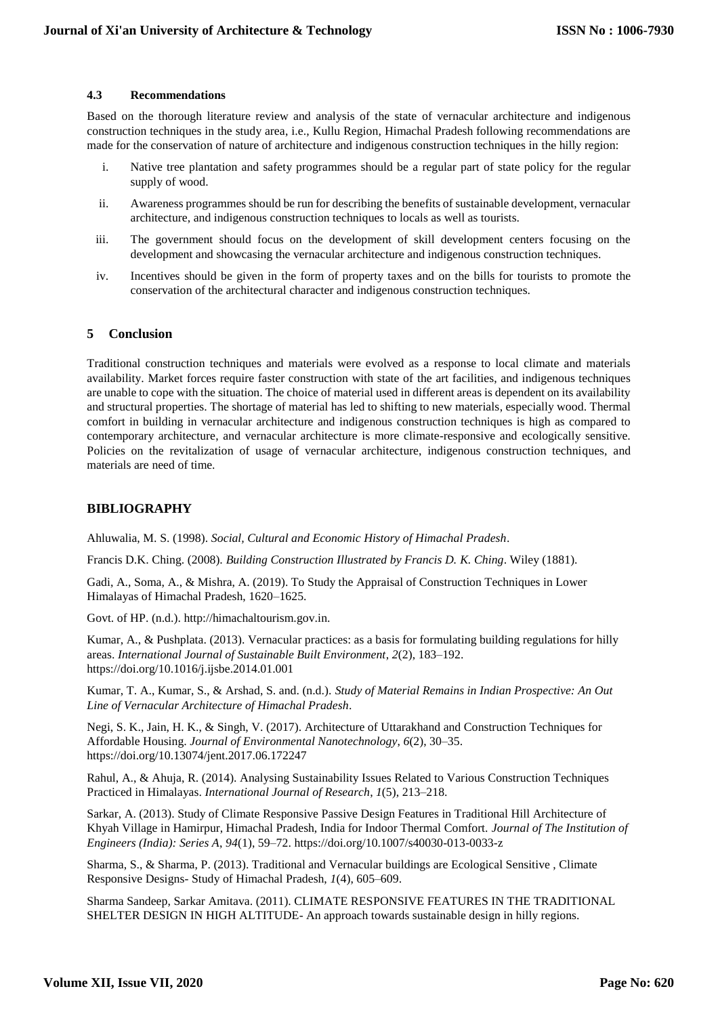#### **4.3 Recommendations**

Based on the thorough literature review and analysis of the state of vernacular architecture and indigenous construction techniques in the study area, i.e., Kullu Region, Himachal Pradesh following recommendations are made for the conservation of nature of architecture and indigenous construction techniques in the hilly region:

- i. Native tree plantation and safety programmes should be a regular part of state policy for the regular supply of wood.
- ii. Awareness programmes should be run for describing the benefits of sustainable development, vernacular architecture, and indigenous construction techniques to locals as well as tourists.
- iii. The government should focus on the development of skill development centers focusing on the development and showcasing the vernacular architecture and indigenous construction techniques.
- iv. Incentives should be given in the form of property taxes and on the bills for tourists to promote the conservation of the architectural character and indigenous construction techniques.

#### **5 Conclusion**

Traditional construction techniques and materials were evolved as a response to local climate and materials availability. Market forces require faster construction with state of the art facilities, and indigenous techniques are unable to cope with the situation. The choice of material used in different areas is dependent on its availability and structural properties. The shortage of material has led to shifting to new materials, especially wood. Thermal comfort in building in vernacular architecture and indigenous construction techniques is high as compared to contemporary architecture, and vernacular architecture is more climate-responsive and ecologically sensitive. Policies on the revitalization of usage of vernacular architecture, indigenous construction techniques, and materials are need of time.

### **BIBLIOGRAPHY**

Ahluwalia, M. S. (1998). *Social, Cultural and Economic History of Himachal Pradesh*.

Francis D.K. Ching. (2008). *Building Construction Illustrated by Francis D. K. Ching*. Wiley (1881).

Gadi, A., Soma, A., & Mishra, A. (2019). To Study the Appraisal of Construction Techniques in Lower Himalayas of Himachal Pradesh, 1620–1625.

Govt. of HP. (n.d.). http://himachaltourism.gov.in.

Kumar, A., & Pushplata. (2013). Vernacular practices: as a basis for formulating building regulations for hilly areas. *International Journal of Sustainable Built Environment*, *2*(2), 183–192. https://doi.org/10.1016/j.ijsbe.2014.01.001

Kumar, T. A., Kumar, S., & Arshad, S. and. (n.d.). *Study of Material Remains in Indian Prospective: An Out Line of Vernacular Architecture of Himachal Pradesh*.

Negi, S. K., Jain, H. K., & Singh, V. (2017). Architecture of Uttarakhand and Construction Techniques for Affordable Housing. *Journal of Environmental Nanotechnology*, *6*(2), 30–35. https://doi.org/10.13074/jent.2017.06.172247

Rahul, A., & Ahuja, R. (2014). Analysing Sustainability Issues Related to Various Construction Techniques Practiced in Himalayas. *International Journal of Research*, *1*(5), 213–218.

Sarkar, A. (2013). Study of Climate Responsive Passive Design Features in Traditional Hill Architecture of Khyah Village in Hamirpur, Himachal Pradesh, India for Indoor Thermal Comfort. *Journal of The Institution of Engineers (India): Series A*, *94*(1), 59–72. https://doi.org/10.1007/s40030-013-0033-z

Sharma, S., & Sharma, P. (2013). Traditional and Vernacular buildings are Ecological Sensitive , Climate Responsive Designs- Study of Himachal Pradesh, *1*(4), 605–609.

Sharma Sandeep, Sarkar Amitava. (2011). CLIMATE RESPONSIVE FEATURES IN THE TRADITIONAL SHELTER DESIGN IN HIGH ALTITUDE- An approach towards sustainable design in hilly regions.